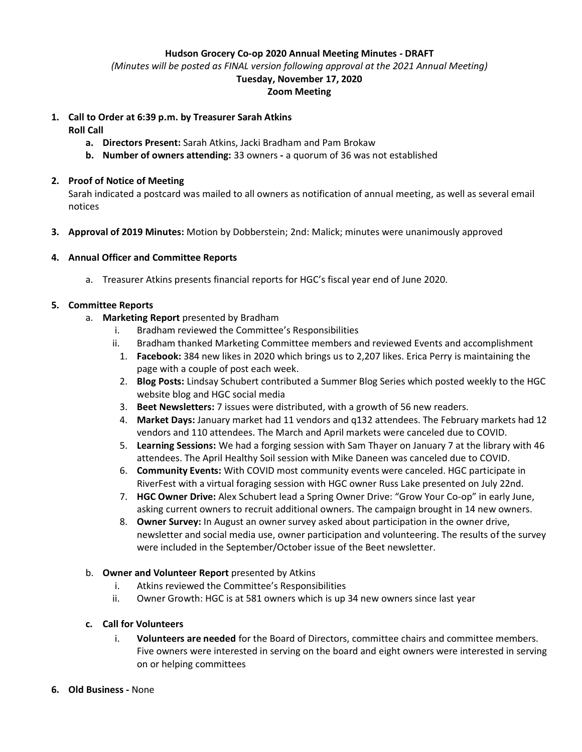#### **Hudson Grocery Co-op 2020 Annual Meeting Minutes - DRAFT**

*(Minutes will be posted as FINAL version following approval at the 2021 Annual Meeting)*

## **Tuesday, November 17, 2020**

#### **Zoom Meeting**

# **1. Call to Order at 6:39 p.m. by Treasurer Sarah Atkins**

**Roll Call**

- **a. Directors Present:** Sarah Atkins, Jacki Bradham and Pam Brokaw
- **b. Number of owners attending:** 33 owners **-** a quorum of 36 was not established

## **2. Proof of Notice of Meeting**

Sarah indicated a postcard was mailed to all owners as notification of annual meeting, as well as several email notices

**3. Approval of 2019 Minutes:** Motion by Dobberstein; 2nd: Malick; minutes were unanimously approved

## **4. Annual Officer and Committee Reports**

a. Treasurer Atkins presents financial reports for HGC's fiscal year end of June 2020.

## **5. Committee Reports**

- a. **Marketing Report** presented by Bradham
	- i. Bradham reviewed the Committee's Responsibilities
	- ii. Bradham thanked Marketing Committee members and reviewed Events and accomplishment
	- 1. **Facebook:** 384 new likes in 2020 which brings us to 2,207 likes. Erica Perry is maintaining the page with a couple of post each week.
	- 2. **Blog Posts:** Lindsay Schubert contributed a Summer Blog Series which posted weekly to the HGC website blog and HGC social media
	- 3. **Beet Newsletters:** 7 issues were distributed, with a growth of 56 new readers.
	- 4. **Market Days:** January market had 11 vendors and q132 attendees. The February markets had 12 vendors and 110 attendees. The March and April markets were canceled due to COVID.
	- 5. **Learning Sessions:** We had a forging session with Sam Thayer on January 7 at the library with 46 attendees. The April Healthy Soil session with Mike Daneen was canceled due to COVID.
	- 6. **Community Events:** With COVID most community events were canceled. HGC participate in RiverFest with a virtual foraging session with HGC owner Russ Lake presented on July 22nd.
	- 7. **HGC Owner Drive:** Alex Schubert lead a Spring Owner Drive: "Grow Your Co-op" in early June, asking current owners to recruit additional owners. The campaign brought in 14 new owners.
	- 8. **Owner Survey:** In August an owner survey asked about participation in the owner drive, newsletter and social media use, owner participation and volunteering. The results of the survey were included in the September/October issue of the Beet newsletter.
- b. **Owner and Volunteer Report** presented by Atkins
	- i. Atkins reviewed the Committee's Responsibilities
	- ii. Owner Growth: HGC is at 581 owners which is up 34 new owners since last year

#### **c. Call for Volunteers**

i. **Volunteers are needed** for the Board of Directors, committee chairs and committee members. Five owners were interested in serving on the board and eight owners were interested in serving on or helping committees

#### **6. Old Business -** None